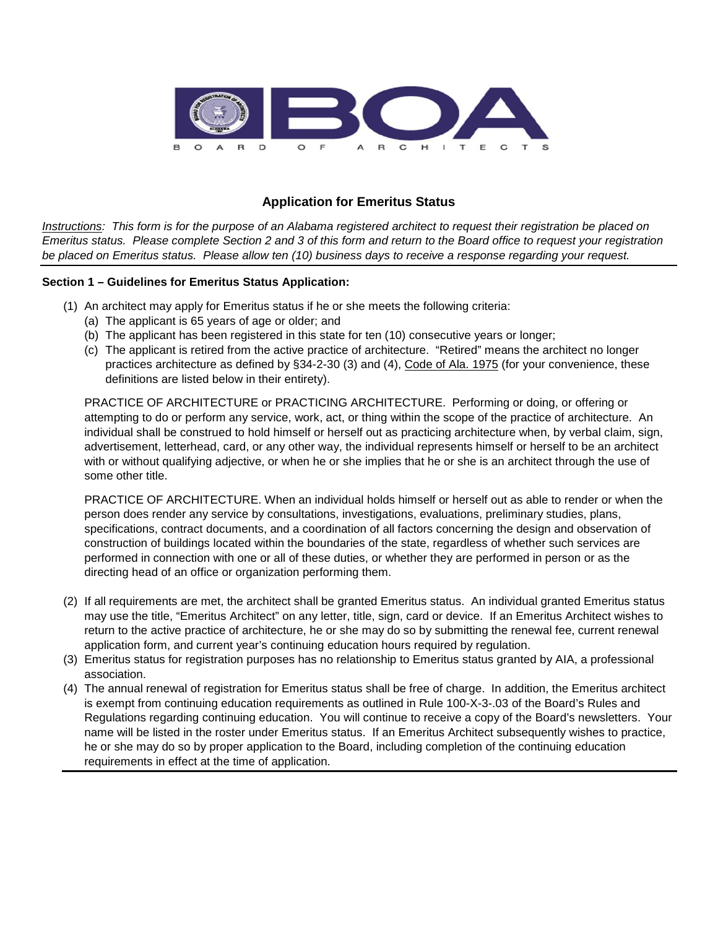

## **Application for Emeritus Status**

*Instructions: This form is for the purpose of an Alabama registered architect to request their registration be placed on Emeritus status. Please complete Section 2 and 3 of this form and return to the Board office to request your registration be placed on Emeritus status. Please allow ten (10) business days to receive a response regarding your request.* 

## **Section 1 – Guidelines for Emeritus Status Application:**

- (1) An architect may apply for Emeritus status if he or she meets the following criteria:
	- (a) The applicant is 65 years of age or older; and
	- (b) The applicant has been registered in this state for ten (10) consecutive years or longer;
	- (c) The applicant is retired from the active practice of architecture. "Retired" means the architect no longer practices architecture as defined by §34-2-30 (3) and (4), Code of Ala. 1975 (for your convenience, these definitions are listed below in their entirety).

PRACTICE OF ARCHITECTURE or PRACTICING ARCHITECTURE. Performing or doing, or offering or attempting to do or perform any service, work, act, or thing within the scope of the practice of architecture. An individual shall be construed to hold himself or herself out as practicing architecture when, by verbal claim, sign, advertisement, letterhead, card, or any other way, the individual represents himself or herself to be an architect with or without qualifying adjective, or when he or she implies that he or she is an architect through the use of some other title.

PRACTICE OF ARCHITECTURE. When an individual holds himself or herself out as able to render or when the person does render any service by consultations, investigations, evaluations, preliminary studies, plans, specifications, contract documents, and a coordination of all factors concerning the design and observation of construction of buildings located within the boundaries of the state, regardless of whether such services are performed in connection with one or all of these duties, or whether they are performed in person or as the directing head of an office or organization performing them.

- (2) If all requirements are met, the architect shall be granted Emeritus status. An individual granted Emeritus status may use the title, "Emeritus Architect" on any letter, title, sign, card or device. If an Emeritus Architect wishes to return to the active practice of architecture, he or she may do so by submitting the renewal fee, current renewal application form, and current year's continuing education hours required by regulation.
- (3) Emeritus status for registration purposes has no relationship to Emeritus status granted by AIA, a professional association.
- (4) The annual renewal of registration for Emeritus status shall be free of charge. In addition, the Emeritus architect is exempt from continuing education requirements as outlined in Rule 100-X-3-.03 of the Board's Rules and Regulations regarding continuing education. You will continue to receive a copy of the Board's newsletters. Your name will be listed in the roster under Emeritus status. If an Emeritus Architect subsequently wishes to practice, he or she may do so by proper application to the Board, including completion of the continuing education requirements in effect at the time of application.